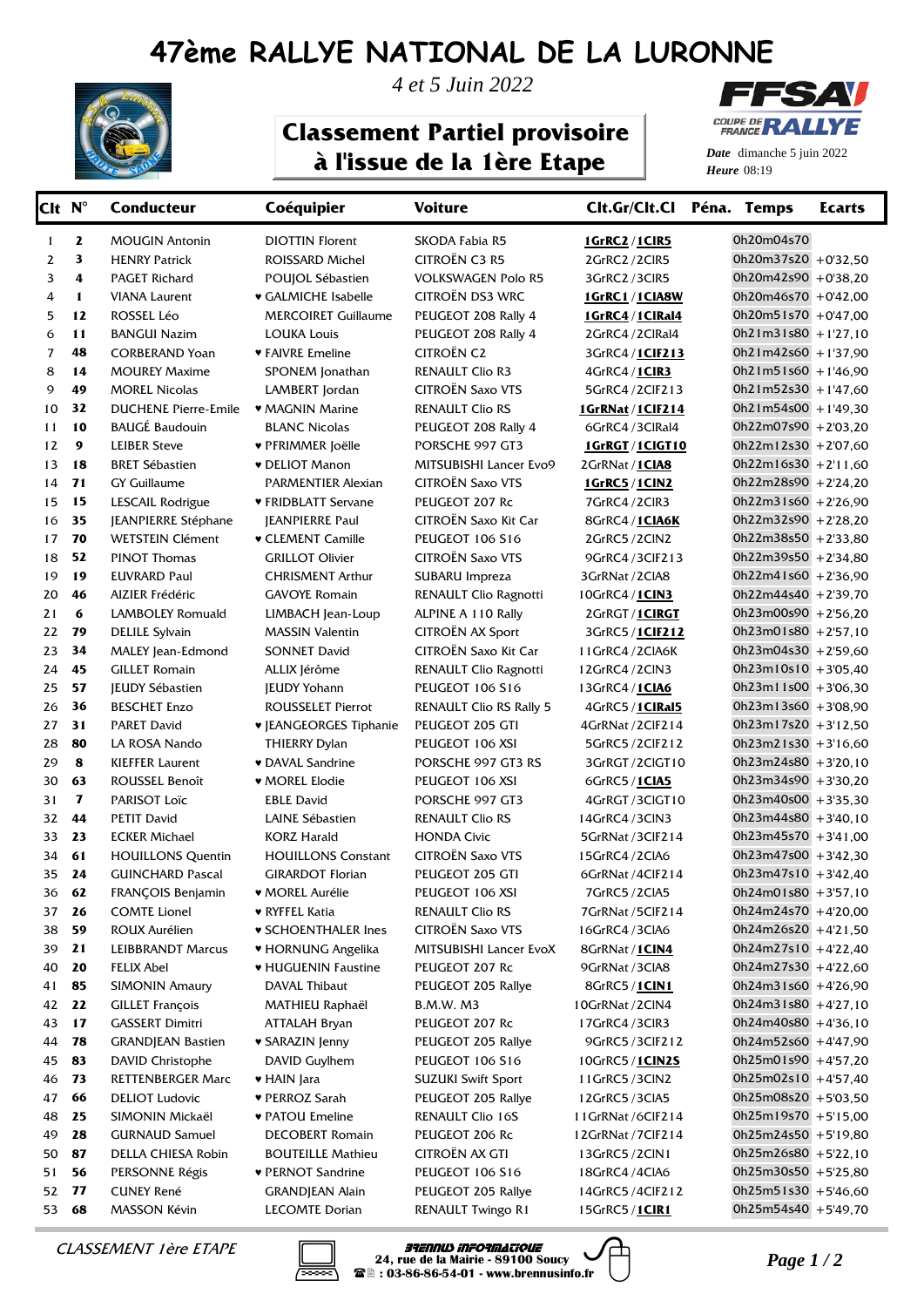## **47ème RALLYE NATIONAL DE LA LURONNE**



*4 et 5 Juin 2022*

## **Classement Partiel provisoire à l'issue de la 1ère Etape**



*Date* dimanche 5 juin 2022 *Heure* 08:19

| Clt N <sup>°</sup> |              | <b>Conducteur</b>           | Coéquipier                    | <b>Voiture</b>                 | Clt.Gr/Clt.Cl Péna. Temps |                        | <b>Ecarts</b> |
|--------------------|--------------|-----------------------------|-------------------------------|--------------------------------|---------------------------|------------------------|---------------|
| 1                  | $\mathbf{z}$ | <b>MOUGIN Antonin</b>       | <b>DIOTTIN Florent</b>        | SKODA Fabia R5                 | <b>1GrRC2/1CIR5</b>       | 0h20m04s70             |               |
| 2                  | 3            | <b>HENRY Patrick</b>        | ROISSARD Michel               | <b>CITROËN C3 R5</b>           | 2GrRC2/2ClR5              | 0h20m37s20 +0'32,50    |               |
| 3                  | 4            | <b>PAGET Richard</b>        | POUJOL Sébastien              | <b>VOLKSWAGEN Polo R5</b>      | 3GrRC2/3CIR5              | 0h20m42s90 +0'38,20    |               |
| 4                  | 1            | <b>VIANA Laurent</b>        | ♥ GALMICHE Isabelle           | CITROËN DS3 WRC                | 1GrRC1/1CIA8W             | $0h20m46s70 + 0'42,00$ |               |
| 5                  | 12           | ROSSEL Léo                  | <b>MERCOIRET Guillaume</b>    | PEUGEOT 208 Rally 4            | 1GrRC4/1ClRal4            | $0h20m51s70 + 0'47,00$ |               |
| 6                  | 11           | <b>BANGUI Nazim</b>         | <b>LOUKA Louis</b>            | PEUGEOT 208 Rally 4            | 2GrRC4/2ClRal4            | $0h21m31s80 + 1'27,10$ |               |
| $\overline{7}$     | 48           | <b>CORBERAND Yoan</b>       | ♥ FAIVRE Emeline              | <b>CITROËN C2</b>              | 3GrRC4/1CIF213            | $0h21m42s60 + 1'37,90$ |               |
| 8                  | 14           | <b>MOUREY Maxime</b>        | SPONEM Jonathan               | <b>RENAULT Clio R3</b>         | 4GrRC4/1CIR3              | $0h21m51s60 + 146,90$  |               |
| 9                  | 49           | <b>MOREL Nicolas</b>        | LAMBERT Jordan                | <b>CITROËN Saxo VTS</b>        | 5GrRC4/2ClF213            | $0h21m52s30 + 1'47,60$ |               |
| 10                 | 32           | <b>DUCHENE Pierre-Emile</b> | • MAGNIN Marine               | <b>RENAULT Clio RS</b>         | 1GrRNat / 1CIF214         | $0h21m54s00 + 1'49,30$ |               |
| 11                 | 10           | <b>BAUGÉ Baudouin</b>       | <b>BLANC Nicolas</b>          | PEUGEOT 208 Rally 4            | 6GrRC4/3ClRal4            | 0h22m07s90 +2'03,20    |               |
| 12                 | 9            | <b>LEIBER Steve</b>         | ♥ PFRIMMER Joëlle             | PORSCHE 997 GT3                | 1GrRGT/1CIGT10            | $0h22m12s30 + 2'07,60$ |               |
| 13                 | 18           | <b>BRET Sébastien</b>       | <b>v</b> DELIOT Manon         | MITSUBISHI Lancer Evo9         | 2GrRNat / 1CIA8           | $Oh22m16s30 + 2'11,60$ |               |
| 14                 | 71           | <b>GY Guillaume</b>         | PARMENTIER Alexian            | <b>CITROËN Saxo VTS</b>        | 1GrRC5/1CIN2              | 0h22m28s90 +2'24,20    |               |
| 15                 | 15           | LESCAIL Rodrigue            | ♥ FRIDBLATT Servane           | PEUGEOT 207 Rc                 | 7GrRC4/2ClR3              | $0h22m31s60 + 2'26,90$ |               |
| 16                 | 35           | JEANPIERRE Stéphane         | <b>JEANPIERRE Paul</b>        | CITROËN Saxo Kit Car           | 8GrRC4/1CIA6K             | 0h22m32s90 +2'28,20    |               |
| 17                 | 70           | <b>WETSTEIN Clément</b>     | ♥ CLEMENT Camille             | PEUGEOT 106 S16                | 2GrRC5/2ClN2              | 0h22m38s50 +2'33,80    |               |
| 18                 | 52           | <b>PINOT Thomas</b>         | <b>GRILLOT Olivier</b>        | <b>CITROËN Saxo VTS</b>        | 9GrRC4/3ClF213            | 0h22m39s50 +2'34,80    |               |
| 19                 | 19           | <b>EUVRARD Paul</b>         | <b>CHRISMENT Arthur</b>       | SUBARU Impreza                 | 3GrRNat / 2CIA8           | $0h22m41s60 + 2'36,90$ |               |
| 20                 | 46           | <b>AIZIER Frédéric</b>      | <b>GAVOYE Romain</b>          | RENAULT Clio Ragnotti          | 10GrRC4 / 1CIN3           | 0h22m44s40 +2'39,70    |               |
| 21                 | 6            | <b>LAMBOLEY Romuald</b>     | LIMBACH Jean-Loup             | ALPINE A 110 Rally             | 2GrRGT / 1CIRGT           | $0h23m00s90 + 256,20$  |               |
| 22                 | 79           | <b>DELILE Sylvain</b>       | <b>MASSIN Valentin</b>        | CITROËN AX Sport               | 3GrRC5/1CIF212            | $0h23m01s80 + 257,10$  |               |
| 23                 | 34           | MALEY Jean-Edmond           | <b>SONNET David</b>           | CITROËN Saxo Kit Car           | 11GrRC4/2CIA6K            | 0h23m04s30 +2'59,60    |               |
| 24                 | 45           | <b>GILLET Romain</b>        | ALLIX Jérôme                  | RENAULT Clio Ragnotti          | 12GrRC4/2ClN3             | $0h23m10s10 + 3'05,40$ |               |
| 25                 | 57           | <b>JEUDY Sébastien</b>      | <b>JEUDY Yohann</b>           | PEUGEOT 106 S16                | 13GrRC4 / 1CIA6           | $0h23m11s00 + 3'06,30$ |               |
| 26                 | 36           | <b>BESCHET Enzo</b>         | <b>ROUSSELET Pierrot</b>      | <b>RENAULT Clio RS Rally 5</b> | 4GrRC5 / 1ClRal5          | $0h23m13s60 + 3'08,90$ |               |
| 27                 | 31           | <b>PARET David</b>          | <b>V JEANGEORGES Tiphanie</b> | PEUGEOT 205 GTI                | 4GrRNat / 2ClF214         | $0h23m17s20 + 3'12,50$ |               |
| 28                 | 80           | LA ROSA Nando               | <b>THIERRY Dylan</b>          | PEUGEOT 106 XSI                | 5GrRC5/2ClF212            | $0h23m21s30 + 3'16,60$ |               |
| 29                 | 8            | <b>KIEFFER Laurent</b>      | ♥ DAVAL Sandrine              | PORSCHE 997 GT3 RS             | 3GrRGT/2ClGT10            | $0h23m24s80 + 3'20,10$ |               |
| 30                 | 63           | ROUSSEL Benoît              | <b>WOREL Elodie</b>           | PEUGEOT 106 XSI                | 6GrRC5 / 1CIA5            | $0h23m34s90 + 3'30,20$ |               |
| 31                 | $\mathbf{z}$ | PARISOT Loïc                | <b>EBLE David</b>             | PORSCHE 997 GT3                | 4GrRGT/3CIGT10            | $0h23m40s00 + 3'35,30$ |               |
| 32                 | 44           | <b>PETIT David</b>          | LAINE Sébastien               | <b>RENAULT Clio RS</b>         | 14GrRC4/3ClN3             | $0h23m44s80 + 3'40,10$ |               |
| 33                 | 23           | <b>ECKER Michael</b>        | <b>KORZ Harald</b>            | <b>HONDA Civic</b>             | 5GrRNat / 3ClF214         | $0h23m45s70 + 3'41,00$ |               |
| 34                 | 61           | <b>HOUILLONS Quentin</b>    | <b>HOUILLONS Constant</b>     | <b>CITROËN Saxo VTS</b>        | 15GrRC4/2CIA6             | $0h23m47s00 + 3'42,30$ |               |
| 35 24              |              | <b>GUINCHARD Pascal</b>     | <b>GIRARDOT Florian</b>       | PEUGEOT 205 GTI                | 6GrRNat / 4ClF214         | $0h23m47s10$ + 3'42.40 |               |
|                    | 36 62        | FRANÇOIS Benjamin           | ♥ MOREL Aurélie               | PEUGEOT 106 XSI                | 7GrRC5/2CIA5              | $0h24m01s80 + 3'57,10$ |               |
|                    | 37 26        | <b>COMTE Lionel</b>         | ♥ RYFFEL Katia                | <b>RENAULT Clio RS</b>         | 7GrRNat / 5ClF214         | $0h24m24s70 + 420,00$  |               |
| 38                 | 59           | ROUX Aurélien               | <b>v SCHOENTHALER Ines</b>    | CITROËN Saxo VTS               | 16GrRC4/3CIA6             | $0h24m26s20 + 4'21,50$ |               |
| 39                 | 21           | <b>LEIBBRANDT Marcus</b>    | ♥ HORNUNG Angelika            | MITSUBISHI Lancer EvoX         | 8GrRNat / 1CIN4           | $0h24m27s10 + 422,40$  |               |
| 40                 | 20           | FELIX Abel                  | ♥ HUGUENIN Faustine           | PEUGEOT 207 Rc                 | 9GrRNat / 3CIA8           | $0h24m27s30 + 4'22,60$ |               |
| 41                 | 85           | <b>SIMONIN Amaury</b>       | DAVAL Thibaut                 | PEUGEOT 205 Rallye             | 8GrRC5 / 1CIN1            | $0h24m31s60 + 4'26,90$ |               |
| 42                 | 22           | <b>GILLET François</b>      | MATHIEU Raphaël               | B.M.W. M3                      | 10GrRNat / 2ClN4          | $0h24m31s80 + 4'27,10$ |               |
| 43                 | 17           | <b>GASSERT Dimitri</b>      | ATTALAH Bryan                 | PEUGEOT 207 Rc                 | 17GrRC4/3ClR3             | $0h24m40s80 + 4'36,10$ |               |
| 44                 | 78           | <b>GRANDJEAN Bastien</b>    | ♥ SARAZIN Jenny               | PEUGEOT 205 Rallye             | 9GrRC5/3ClF212            | $0h24m52s60 + 447,90$  |               |
| 45                 | 83           | DAVID Christophe            | DAVID Guylhem                 | PEUGEOT 106 S16                | 10GrRC5 / 1CIN2S          | $0h25m01s90 + 457,20$  |               |
| 46                 | 73           | <b>RETTENBERGER Marc</b>    | ♥ HAIN Jara                   | <b>SUZUKI Swift Sport</b>      | 11GrRC5/3ClN2             | $0h25m02s10 + 457,40$  |               |
| 47                 | 66           | <b>DELIOT Ludovic</b>       | ♥ PERROZ Sarah                | PEUGEOT 205 Rallye             | 12GrRC5/3CIA5             | 0h25m08s20 +5'03,50    |               |
| 48                 | 25           | SIMONIN Mickaël             | ♥ PATOU Emeline               | RENAULT Clio 16S               | 11 GrRNat / 6CIF 214      | $0h25m19s70 + 5'15,00$ |               |
| 49                 | 28           | <b>GURNAUD Samuel</b>       | <b>DECOBERT Romain</b>        | PEUGEOT 206 Rc                 | 12GrRNat / 7ClF214        | $0h25m24s50 + 5'19,80$ |               |
| 50                 | 87           | DELLA CHIESA Robin          | <b>BOUTEILLE Mathieu</b>      | CITROËN AX GTI                 | 13GrRC5/2CIN1             | $0h25m26s80 + 5'22,10$ |               |
| 51                 | 56           | PERSONNE Régis              | ♥ PERNOT Sandrine             | PEUGEOT 106 S16                | 18GrRC4/4CIA6             | 0h25m30s50 +5'25,80    |               |
| 52                 | 77           | <b>CUNEY René</b>           | <b>GRANDJEAN Alain</b>        | PEUGEOT 205 Rallye             | 14GrRC5 / 4ClF212         | $0h25m51s30 + 5'46,60$ |               |
| 53                 | 68           | MASSON Kévin                | <b>LECOMTE Dorian</b>         | RENAULT Twingo R1              | 15GrRC5 / 1CIR1           | 0h25m54s40 +5'49,70    |               |